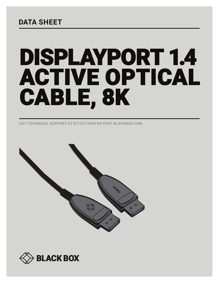## **DATA SHEET**

# DISPLAYPORT 1.4 ACTIVE OPTICAL CABLE, 8K

24/7 TECHNICAL SUPPORT AT 877.877.2269 OR VISIT BLACKBOX.COM



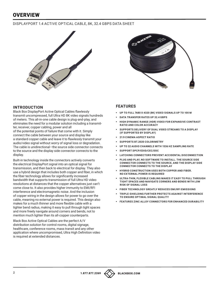### **OVERVIEW**

#### DISPLAYPORT 1.4 ACTIVE OPTICAL CABLE, 8K, 32.4 GBPS DATA SHEET





#### **INTRODUCTION**

Black Box DisplayPort Active Optical Cables flawlessly transmit uncompressed, full Ultra HD 8K video signals hundreds of meters. This all-in-one cable design is plug-and-play, and eliminates the need for a modular solution including a transmitter, receiver, copper cabling, power and all

of the potential points of failure that come with it. Simply connect the cable between your source and display like a standard copper cable and leave it to flawlessly transmit your audio/video signal without worry of signal loss or degradation. The cable is unidirectional—the source side connector connects to the source and the display side connector connects to the display.

Built-in technology inside the connectors actively converts the electrical DisplayPort signal into an optical signal for transmission, and then back to electrical for display. They also use a hybrid design that includes both copper and fiber, in which the fiber technology allows for significantly increased bandwidth that supports transmission of full Ultra HD video resolutions at distances that the copper alternatives just can't come close to. It also provides higher immunity to EMI/RFI interference and electromagnetic noise. And the inclusion of copper wiring in the design allows for power to go over the cable, meaning no external power is required. This design also makes for a much thinner and more flexible cable with a tighter bend radius, making it easy to pull through tight spaces and more freely navigate around corners and bends, not to mention much lighter than its all-copper counterparts.

Black Box Active Optical Cables are the perfect A/V distribution solution for control rooms, digital signage, healthcare, conference rooms, mass transit and any other application where uncompromised, Ultra High Definition video is required at extended distances.

#### **FEATURES**

- § **UP TO FULL 7680 X 4320 (8K) VIDEO SIGNALS UP TO 100 M**
- § **DATA TRANSFER RATES UP 32.4 GBPS**
- § **HIGH DYNAMIC RANGE (HDR) VIDEO FOR EXPANSIVE CONTRAST RATIO AND COLOR ACCURACY**
- § **SUPPORTS DELIVERY OF DUAL VIDEO STREAMS TO A DISPLAY (IF SUPPORTED BY DISPLAY)**
- § **21:9 CINEMA ASPECT RATIO**
- § **SUPPORTS BT.2020 COLORIMETRY**
- § **UP TO 32 AUDIO CHANNELS WITH 1536 HZ SAMPLING RATE**
- § **SUPPORT DPCP/EDID/CEC/DDC**
- § **LATCHING CONNECTORS PREVENT ACCIDENTAL DISCONNECTION**
- § **PLUG AND PLAY, NO SOFTWARE TO INSTALL. THE SOURCE SIDE CONNECTOR CONNECTS TO THE SOURCE, AND THE DISPLAY SIDE CONNECTOR CONNECTS TO THE DISPLAY**
- **HYBRID CONSTRUCTION USES BOTH COPPER AND FIBER. NO EXTERNAL POWER IS REQUIRED**
- § **ULTRA-THIN, FLEXIBLE CABLING MAKES IT EASY TO PULL THROUGH TIGHT SPACES AND NAVIGATE CORNERS AND BENDS WITH LOW RISK OF SIGNAL LOSS**
- § **FIBER TECHNOLOGY GREATLY REDUCES EMI/RFI EMISSIONS**
- § **TRIPLE-SHIELDING FURTHER PROTECTS AGAINST INTERFERENCE TO ENSURE OPTIMAL SIGNAL QUALITY**
- § **FEATURES ZINC ALLOY CONNECTORS FOR ENHANCED DURABILITY**